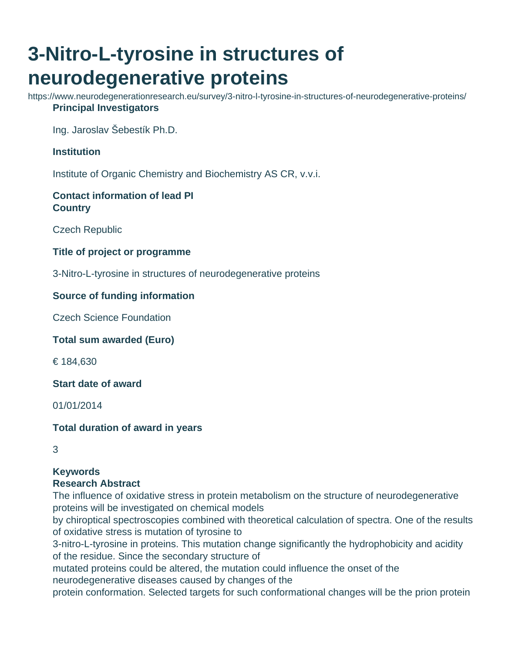# **3-Nitro-L-tyrosine in structures of neurodegenerative proteins**

https://www.neurodegenerationresearch.eu/survey/3-nitro-l-tyrosine-in-structures-of-neurodegenerative-proteins/ **Principal Investigators**

Ing. Jaroslav Šebestík Ph.D.

## **Institution**

Institute of Organic Chemistry and Biochemistry AS CR, v.v.i.

# **Contact information of lead PI Country**

Czech Republic

#### **Title of project or programme**

3-Nitro-L-tyrosine in structures of neurodegenerative proteins

#### **Source of funding information**

Czech Science Foundation

**Total sum awarded (Euro)**

€ 184,630

**Start date of award**

01/01/2014

# **Total duration of award in years**

3

# **Keywords**

# **Research Abstract**

The influence of oxidative stress in protein metabolism on the structure of neurodegenerative proteins will be investigated on chemical models

by chiroptical spectroscopies combined with theoretical calculation of spectra. One of the results of oxidative stress is mutation of tyrosine to

3-nitro-L-tyrosine in proteins. This mutation change significantly the hydrophobicity and acidity of the residue. Since the secondary structure of

mutated proteins could be altered, the mutation could influence the onset of the neurodegenerative diseases caused by changes of the

protein conformation. Selected targets for such conformational changes will be the prion protein